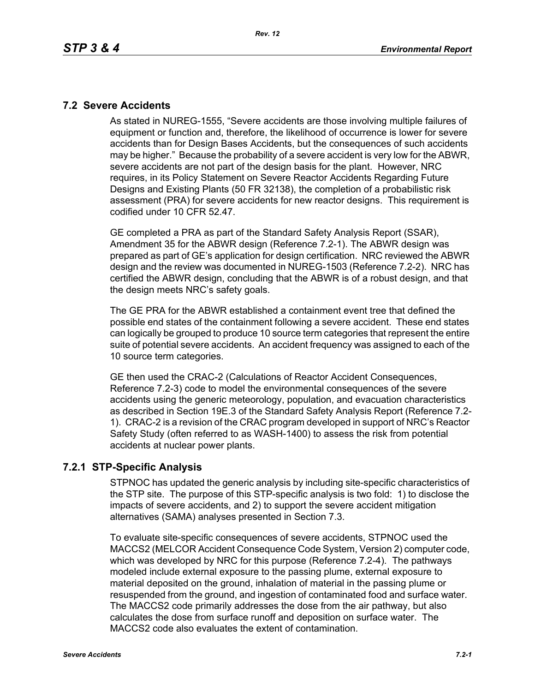#### **7.2 Severe Accidents**

As stated in NUREG-1555, "Severe accidents are those involving multiple failures of equipment or function and, therefore, the likelihood of occurrence is lower for severe accidents than for Design Bases Accidents, but the consequences of such accidents may be higher." Because the probability of a severe accident is very low for the ABWR, severe accidents are not part of the design basis for the plant. However, NRC requires, in its Policy Statement on Severe Reactor Accidents Regarding Future Designs and Existing Plants (50 FR 32138), the completion of a probabilistic risk assessment (PRA) for severe accidents for new reactor designs. This requirement is codified under 10 CFR 52.47.

GE completed a PRA as part of the Standard Safety Analysis Report (SSAR), Amendment 35 for the ABWR design (Reference 7.2-1). The ABWR design was prepared as part of GE's application for design certification. NRC reviewed the ABWR design and the review was documented in NUREG-1503 (Reference 7.2-2). NRC has certified the ABWR design, concluding that the ABWR is of a robust design, and that the design meets NRC's safety goals.

The GE PRA for the ABWR established a containment event tree that defined the possible end states of the containment following a severe accident. These end states can logically be grouped to produce 10 source term categories that represent the entire suite of potential severe accidents. An accident frequency was assigned to each of the 10 source term categories.

GE then used the CRAC-2 (Calculations of Reactor Accident Consequences, Reference 7.2-3) code to model the environmental consequences of the severe accidents using the generic meteorology, population, and evacuation characteristics as described in Section 19E.3 of the Standard Safety Analysis Report (Reference 7.2- 1). CRAC-2 is a revision of the CRAC program developed in support of NRC's Reactor Safety Study (often referred to as WASH-1400) to assess the risk from potential accidents at nuclear power plants.

## **7.2.1 STP-Specific Analysis**

STPNOC has updated the generic analysis by including site-specific characteristics of the STP site. The purpose of this STP-specific analysis is two fold: 1) to disclose the impacts of severe accidents, and 2) to support the severe accident mitigation alternatives (SAMA) analyses presented in Section 7.3.

To evaluate site-specific consequences of severe accidents, STPNOC used the MACCS2 (MELCOR Accident Consequence Code System, Version 2) computer code, which was developed by NRC for this purpose (Reference 7.2-4). The pathways modeled include external exposure to the passing plume, external exposure to material deposited on the ground, inhalation of material in the passing plume or resuspended from the ground, and ingestion of contaminated food and surface water. The MACCS2 code primarily addresses the dose from the air pathway, but also calculates the dose from surface runoff and deposition on surface water. The MACCS2 code also evaluates the extent of contamination.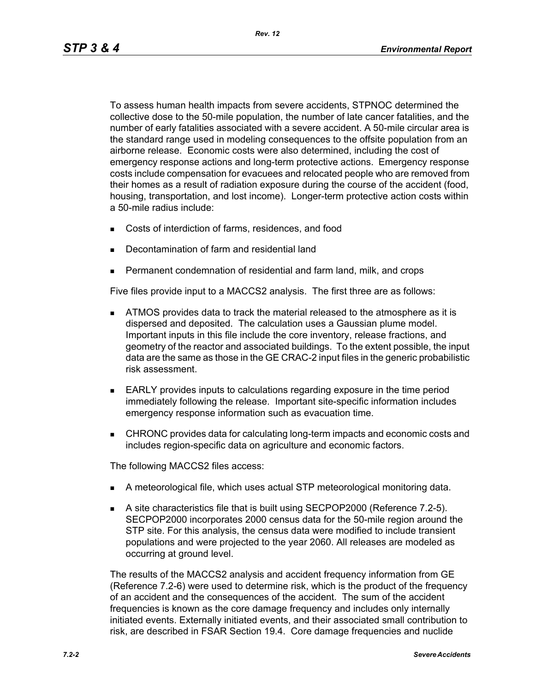To assess human health impacts from severe accidents, STPNOC determined the collective dose to the 50-mile population, the number of late cancer fatalities, and the number of early fatalities associated with a severe accident. A 50-mile circular area is the standard range used in modeling consequences to the offsite population from an airborne release. Economic costs were also determined, including the cost of emergency response actions and long-term protective actions. Emergency response costs include compensation for evacuees and relocated people who are removed from their homes as a result of radiation exposure during the course of the accident (food, housing, transportation, and lost income). Longer-term protective action costs within a 50-mile radius include:

- Costs of interdiction of farms, residences, and food
- Decontamination of farm and residential land
- Permanent condemnation of residential and farm land, milk, and crops

Five files provide input to a MACCS2 analysis. The first three are as follows:

- **ATMOS** provides data to track the material released to the atmosphere as it is dispersed and deposited. The calculation uses a Gaussian plume model. Important inputs in this file include the core inventory, release fractions, and geometry of the reactor and associated buildings. To the extent possible, the input data are the same as those in the GE CRAC-2 input files in the generic probabilistic risk assessment.
- EARLY provides inputs to calculations regarding exposure in the time period immediately following the release. Important site-specific information includes emergency response information such as evacuation time.
- CHRONC provides data for calculating long-term impacts and economic costs and includes region-specific data on agriculture and economic factors.

The following MACCS2 files access:

- A meteorological file, which uses actual STP meteorological monitoring data.
- A site characteristics file that is built using SECPOP2000 (Reference 7.2-5). SECPOP2000 incorporates 2000 census data for the 50-mile region around the STP site. For this analysis, the census data were modified to include transient populations and were projected to the year 2060. All releases are modeled as occurring at ground level.

The results of the MACCS2 analysis and accident frequency information from GE (Reference 7.2-6) were used to determine risk, which is the product of the frequency of an accident and the consequences of the accident. The sum of the accident frequencies is known as the core damage frequency and includes only internally initiated events. Externally initiated events, and their associated small contribution to risk, are described in FSAR Section 19.4. Core damage frequencies and nuclide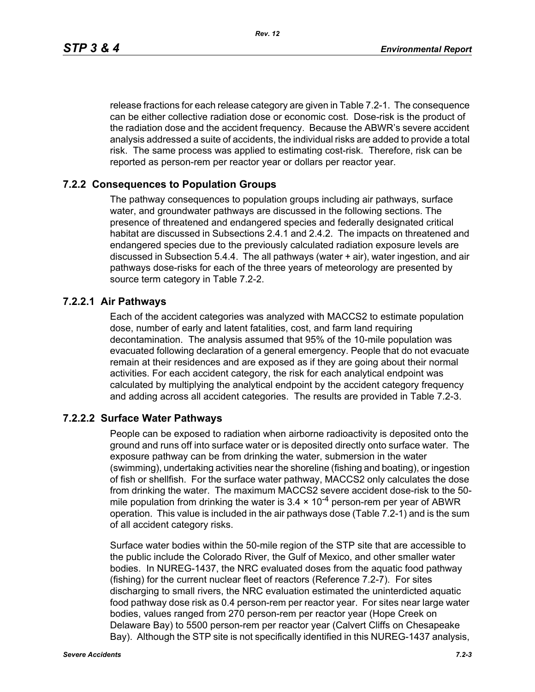*Rev. 12*

release fractions for each release category are given in Table 7.2-1. The consequence can be either collective radiation dose or economic cost. Dose-risk is the product of the radiation dose and the accident frequency. Because the ABWR's severe accident analysis addressed a suite of accidents, the individual risks are added to provide a total risk. The same process was applied to estimating cost-risk. Therefore, risk can be reported as person-rem per reactor year or dollars per reactor year.

#### **7.2.2 Consequences to Population Groups**

The pathway consequences to population groups including air pathways, surface water, and groundwater pathways are discussed in the following sections. The presence of threatened and endangered species and federally designated critical habitat are discussed in Subsections 2.4.1 and 2.4.2. The impacts on threatened and endangered species due to the previously calculated radiation exposure levels are discussed in Subsection 5.4.4. The all pathways (water + air), water ingestion, and air pathways dose-risks for each of the three years of meteorology are presented by source term category in Table 7.2-2.

#### **7.2.2.1 Air Pathways**

Each of the accident categories was analyzed with MACCS2 to estimate population dose, number of early and latent fatalities, cost, and farm land requiring decontamination. The analysis assumed that 95% of the 10-mile population was evacuated following declaration of a general emergency. People that do not evacuate remain at their residences and are exposed as if they are going about their normal activities. For each accident category, the risk for each analytical endpoint was calculated by multiplying the analytical endpoint by the accident category frequency and adding across all accident categories. The results are provided in Table 7.2-3.

#### **7.2.2.2 Surface Water Pathways**

People can be exposed to radiation when airborne radioactivity is deposited onto the ground and runs off into surface water or is deposited directly onto surface water. The exposure pathway can be from drinking the water, submersion in the water (swimming), undertaking activities near the shoreline (fishing and boating), or ingestion of fish or shellfish. For the surface water pathway, MACCS2 only calculates the dose from drinking the water. The maximum MACCS2 severe accident dose-risk to the 50 mile population from drinking the water is  $3.4 \times 10^{-4}$  person-rem per year of ABWR operation. This value is included in the air pathways dose (Table 7.2-1) and is the sum of all accident category risks.

Surface water bodies within the 50-mile region of the STP site that are accessible to the public include the Colorado River, the Gulf of Mexico, and other smaller water bodies. In NUREG-1437, the NRC evaluated doses from the aquatic food pathway (fishing) for the current nuclear fleet of reactors (Reference 7.2-7). For sites discharging to small rivers, the NRC evaluation estimated the uninterdicted aquatic food pathway dose risk as 0.4 person-rem per reactor year. For sites near large water bodies, values ranged from 270 person-rem per reactor year (Hope Creek on Delaware Bay) to 5500 person-rem per reactor year (Calvert Cliffs on Chesapeake Bay). Although the STP site is not specifically identified in this NUREG-1437 analysis,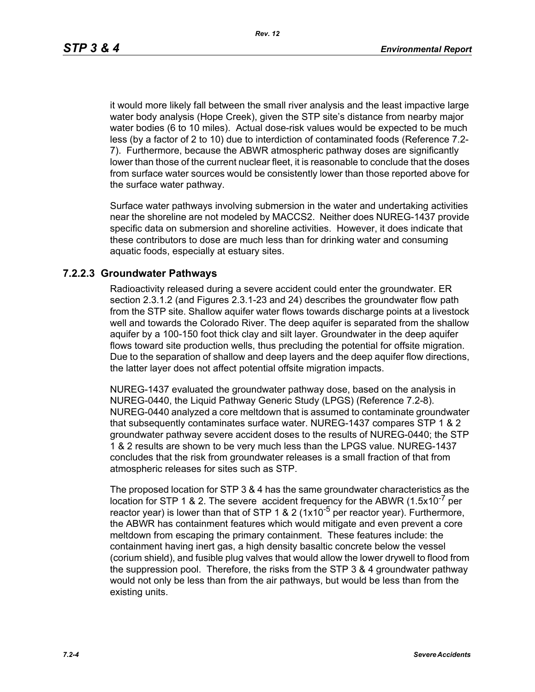*Rev. 12*

it would more likely fall between the small river analysis and the least impactive large water body analysis (Hope Creek), given the STP site's distance from nearby major water bodies (6 to 10 miles). Actual dose-risk values would be expected to be much less (by a factor of 2 to 10) due to interdiction of contaminated foods (Reference 7.2- 7). Furthermore, because the ABWR atmospheric pathway doses are significantly lower than those of the current nuclear fleet, it is reasonable to conclude that the doses from surface water sources would be consistently lower than those reported above for the surface water pathway.

Surface water pathways involving submersion in the water and undertaking activities near the shoreline are not modeled by MACCS2. Neither does NUREG-1437 provide specific data on submersion and shoreline activities. However, it does indicate that these contributors to dose are much less than for drinking water and consuming aquatic foods, especially at estuary sites.

## **7.2.2.3 Groundwater Pathways**

Radioactivity released during a severe accident could enter the groundwater. ER section 2.3.1.2 (and Figures 2.3.1-23 and 24) describes the groundwater flow path from the STP site. Shallow aquifer water flows towards discharge points at a livestock well and towards the Colorado River. The deep aquifer is separated from the shallow aquifer by a 100-150 foot thick clay and silt layer. Groundwater in the deep aquifer flows toward site production wells, thus precluding the potential for offsite migration. Due to the separation of shallow and deep layers and the deep aquifer flow directions, the latter layer does not affect potential offsite migration impacts.

NUREG-1437 evaluated the groundwater pathway dose, based on the analysis in NUREG-0440, the Liquid Pathway Generic Study (LPGS) (Reference 7.2-8). NUREG-0440 analyzed a core meltdown that is assumed to contaminate groundwater that subsequently contaminates surface water. NUREG-1437 compares STP 1 & 2 groundwater pathway severe accident doses to the results of NUREG-0440; the STP 1 & 2 results are shown to be very much less than the LPGS value. NUREG-1437 concludes that the risk from groundwater releases is a small fraction of that from atmospheric releases for sites such as STP.

The proposed location for STP 3 & 4 has the same groundwater characteristics as the location for STP 1 & 2. The severe accident frequency for the ABWR  $(1.5x10^{-7}$  per reactor year) is lower than that of STP 1 & 2 ( $1x10^{-5}$  per reactor year). Furthermore, the ABWR has containment features which would mitigate and even prevent a core meltdown from escaping the primary containment. These features include: the containment having inert gas, a high density basaltic concrete below the vessel (corium shield), and fusible plug valves that would allow the lower drywell to flood from the suppression pool. Therefore, the risks from the STP 3 & 4 groundwater pathway would not only be less than from the air pathways, but would be less than from the existing units.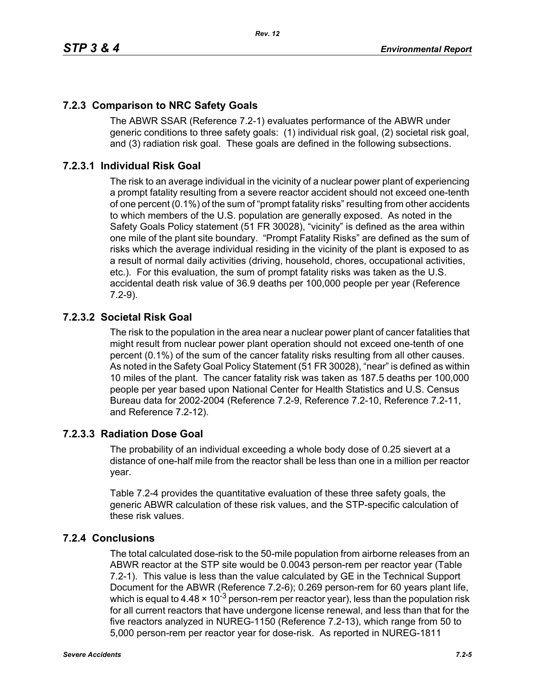# **7.2.3 Comparison to NRC Safety Goals**

The ABWR SSAR (Reference 7.2-1) evaluates performance of the ABWR under generic conditions to three safety goals: (1) individual risk goal, (2) societal risk goal, and (3) radiation risk goal. These goals are defined in the following subsections.

## **7.2.3.1 Individual Risk Goal**

The risk to an average individual in the vicinity of a nuclear power plant of experiencing a prompt fatality resulting from a severe reactor accident should not exceed one-tenth of one percent (0.1%) of the sum of "prompt fatality risks" resulting from other accidents to which members of the U.S. population are generally exposed. As noted in the Safety Goals Policy statement (51 FR 30028), "vicinity" is defined as the area within one mile of the plant site boundary. "Prompt Fatality Risks" are defined as the sum of risks which the average individual residing in the vicinity of the plant is exposed to as a result of normal daily activities (driving, household, chores, occupational activities, etc.). For this evaluation, the sum of prompt fatality risks was taken as the U.S. accidental death risk value of 36.9 deaths per 100,000 people per year (Reference 7.2-9).

## **7.2.3.2 Societal Risk Goal**

The risk to the population in the area near a nuclear power plant of cancer fatalities that might result from nuclear power plant operation should not exceed one-tenth of one percent (0.1%) of the sum of the cancer fatality risks resulting from all other causes. As noted in the Safety Goal Policy Statement (51 FR 30028), "near" is defined as within 10 miles of the plant. The cancer fatality risk was taken as 187.5 deaths per 100,000 people per year based upon National Center for Health Statistics and U.S. Census Bureau data for 2002-2004 (Reference 7.2-9, Reference 7.2-10, Reference 7.2-11, and Reference 7.2-12).

## **7.2.3.3 Radiation Dose Goal**

The probability of an individual exceeding a whole body dose of 0.25 sievert at a distance of one-half mile from the reactor shall be less than one in a million per reactor year.

Table 7.2-4 provides the quantitative evaluation of these three safety goals, the generic ABWR calculation of these risk values, and the STP-specific calculation of these risk values.

## **7.2.4 Conclusions**

The total calculated dose-risk to the 50-mile population from airborne releases from an ABWR reactor at the STP site would be 0.0043 person-rem per reactor year (Table 7.2-1). This value is less than the value calculated by GE in the Technical Support Document for the ABWR (Reference 7.2-6); 0.269 person-rem for 60 years plant life, which is equal to 4.48  $\times$  10<sup>-3</sup> person-rem per reactor year), less than the population risk for all current reactors that have undergone license renewal, and less than that for the five reactors analyzed in NUREG-1150 (Reference 7.2-13), which range from 50 to 5,000 person-rem per reactor year for dose-risk. As reported in NUREG-1811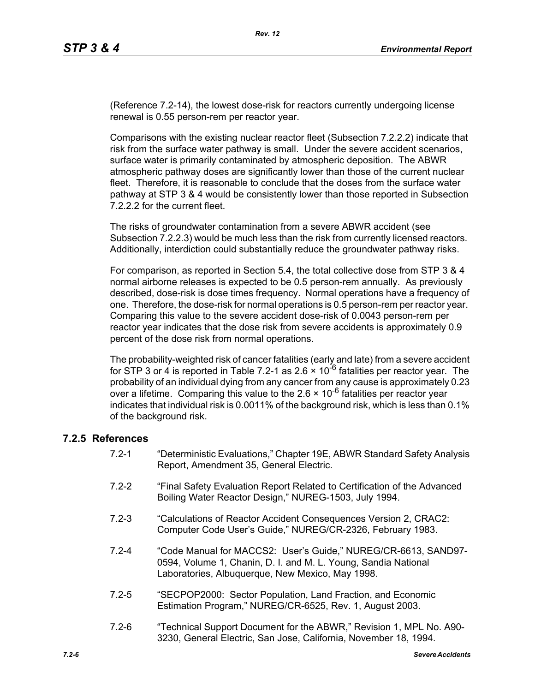(Reference 7.2-14), the lowest dose-risk for reactors currently undergoing license renewal is 0.55 person-rem per reactor year.

Comparisons with the existing nuclear reactor fleet (Subsection 7.2.2.2) indicate that risk from the surface water pathway is small. Under the severe accident scenarios, surface water is primarily contaminated by atmospheric deposition. The ABWR atmospheric pathway doses are significantly lower than those of the current nuclear fleet. Therefore, it is reasonable to conclude that the doses from the surface water pathway at STP 3 & 4 would be consistently lower than those reported in Subsection 7.2.2.2 for the current fleet.

The risks of groundwater contamination from a severe ABWR accident (see Subsection 7.2.2.3) would be much less than the risk from currently licensed reactors. Additionally, interdiction could substantially reduce the groundwater pathway risks.

For comparison, as reported in Section 5.4, the total collective dose from STP 3 & 4 normal airborne releases is expected to be 0.5 person-rem annually. As previously described, dose-risk is dose times frequency. Normal operations have a frequency of one. Therefore, the dose-risk for normal operations is 0.5 person-rem per reactor year. Comparing this value to the severe accident dose-risk of 0.0043 person-rem per reactor year indicates that the dose risk from severe accidents is approximately 0.9 percent of the dose risk from normal operations.

The probability-weighted risk of cancer fatalities (early and late) from a severe accident for STP 3 or 4 is reported in Table 7.2-1 as 2.6  $\times$  10<sup>-6</sup> fatalities per reactor year. The probability of an individual dying from any cancer from any cause is approximately 0.23 over a lifetime. Comparing this value to the  $2.6 \times 10^{-6}$  fatalities per reactor year indicates that individual risk is 0.0011% of the background risk, which is less than 0.1% of the background risk.

#### **7.2.5 References**

- 7.2-1 "Deterministic Evaluations," Chapter 19E, ABWR Standard Safety Analysis Report, Amendment 35, General Electric.
- 7.2-2 "Final Safety Evaluation Report Related to Certification of the Advanced Boiling Water Reactor Design," NUREG-1503, July 1994.
- 7.2-3 "Calculations of Reactor Accident Consequences Version 2, CRAC2: Computer Code User's Guide," NUREG/CR-2326, February 1983.
- 7.2-4 "Code Manual for MACCS2: User's Guide," NUREG/CR-6613, SAND97- 0594, Volume 1, Chanin, D. I. and M. L. Young, Sandia National Laboratories, Albuquerque, New Mexico, May 1998.
- 7.2-5 "SECPOP2000: Sector Population, Land Fraction, and Economic Estimation Program," NUREG/CR-6525, Rev. 1, August 2003.
- 7.2-6 "Technical Support Document for the ABWR," Revision 1, MPL No. A90- 3230, General Electric, San Jose, California, November 18, 1994.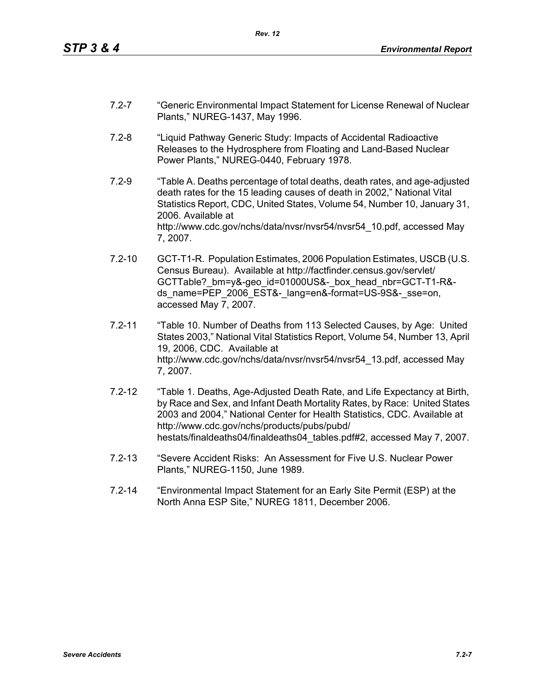- 7.2-7 "Generic Environmental Impact Statement for License Renewal of Nuclear Plants," NUREG-1437, May 1996.
- 7.2-8 "Liquid Pathway Generic Study: Impacts of Accidental Radioactive Releases to the Hydrosphere from Floating and Land-Based Nuclear Power Plants," NUREG-0440, February 1978.
- 7.2-9 "Table A. Deaths percentage of total deaths, death rates, and age-adjusted death rates for the 15 leading causes of death in 2002," National Vital Statistics Report, CDC, United States, Volume 54, Number 10, January 31, 2006. Available at http://www.cdc.gov/nchs/data/nvsr/nvsr54/nvsr54\_10.pdf, accessed May 7, 2007.
- 7.2-10 GCT-T1-R. Population Estimates, 2006 Population Estimates, USCB (U.S. Census Bureau). Available at http://factfinder.census.gov/servlet/ GCTTable? bm=y&-geo\_id=01000US&-\_box\_head\_nbr=GCT-T1-R&ds\_name=PEP\_2006\_EST&-\_lang=en&-format=US-9S&-\_sse=on, accessed May 7, 2007.
- 7.2-11 "Table 10. Number of Deaths from 113 Selected Causes, by Age: United States 2003," National Vital Statistics Report, Volume 54, Number 13, April 19, 2006, CDC. Available at http://www.cdc.gov/nchs/data/nvsr/nvsr54/nvsr54\_13.pdf, accessed May 7, 2007.
- 7.2-12 "Table 1. Deaths, Age-Adjusted Death Rate, and Life Expectancy at Birth, by Race and Sex, and Infant Death Mortality Rates, by Race: United States 2003 and 2004," National Center for Health Statistics, CDC. Available at http://www.cdc.gov/nchs/products/pubs/pubd/ hestats/finaldeaths04/finaldeaths04\_tables.pdf#2, accessed May 7, 2007.
- 7.2-13 "Severe Accident Risks: An Assessment for Five U.S. Nuclear Power Plants," NUREG-1150, June 1989.
- 7.2-14 "Environmental Impact Statement for an Early Site Permit (ESP) at the North Anna ESP Site," NUREG 1811, December 2006.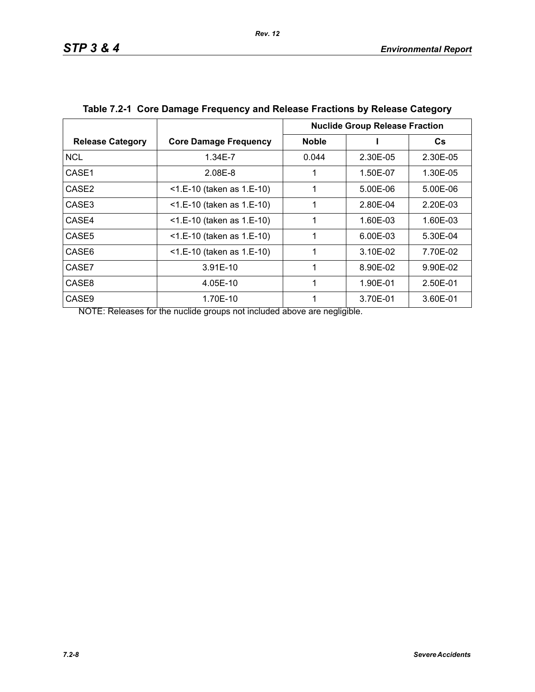|                         |                              | <b>Nuclide Group Release Fraction</b> |          |          |
|-------------------------|------------------------------|---------------------------------------|----------|----------|
| <b>Release Category</b> | <b>Core Damage Frequency</b> | <b>Noble</b>                          |          | Cs       |
| <b>NCL</b>              | 1.34E-7                      | 0.044                                 | 2.30E-05 | 2.30E-05 |
| CASE1                   | 2.08E-8                      |                                       | 1.50E-07 | 1.30E-05 |
| CASE <sub>2</sub>       | <1.E-10 (taken as 1.E-10)    | 1                                     | 5.00E-06 | 5.00E-06 |
| CASE3                   | $<$ 1.E-10 (taken as 1.E-10) | 1                                     | 2.80E-04 | 2.20E-03 |
| CASE4                   | <1.E-10 (taken as 1.E-10)    | 1                                     | 1.60E-03 | 1.60E-03 |
| CASE <sub>5</sub>       | $<$ 1.E-10 (taken as 1.E-10) |                                       | 6.00E-03 | 5.30E-04 |
| CASE6                   | $<$ 1.E-10 (taken as 1.E-10) |                                       | 3.10E-02 | 7.70E-02 |
| CASE7                   | 3.91E-10                     |                                       | 8.90E-02 | 9.90E-02 |
| CASE8                   | 4.05E-10                     | 1                                     | 1.90E-01 | 2.50E-01 |
| CASE <sub>9</sub>       | 1.70E-10                     |                                       | 3.70E-01 | 3.60E-01 |

| Table 7.2-1 Core Damage Frequency and Release Fractions by Release Category |  |  |  |  |  |  |  |
|-----------------------------------------------------------------------------|--|--|--|--|--|--|--|
|-----------------------------------------------------------------------------|--|--|--|--|--|--|--|

NOTE: Releases for the nuclide groups not included above are negligible.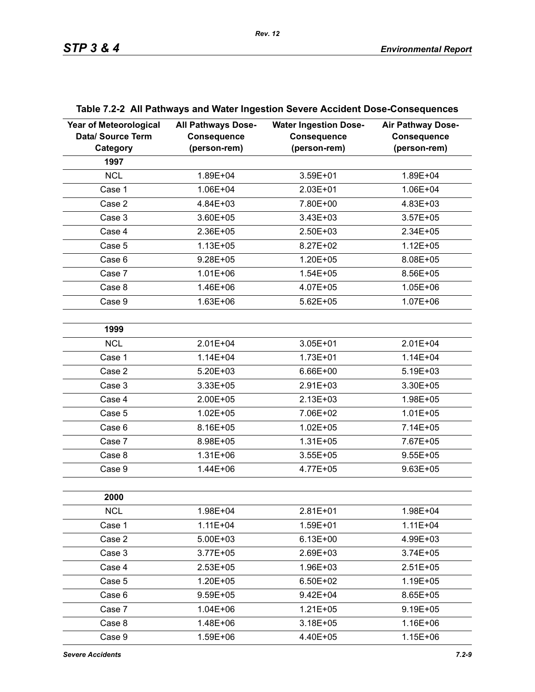| <b>Year of Meteorological</b><br>Data/ Source Term<br>Category | <b>All Pathways Dose-</b><br><b>Consequence</b><br>(person-rem) | <b>Water Ingestion Dose-</b><br><b>Consequence</b><br>(person-rem) | <b>Air Pathway Dose-</b><br><b>Consequence</b><br>(person-rem) |
|----------------------------------------------------------------|-----------------------------------------------------------------|--------------------------------------------------------------------|----------------------------------------------------------------|
| 1997                                                           |                                                                 |                                                                    |                                                                |
| <b>NCL</b>                                                     | 1.89E+04                                                        | 3.59E+01                                                           | 1.89E+04                                                       |
| Case 1                                                         | 1.06E+04                                                        | 2.03E+01                                                           | 1.06E+04                                                       |
| Case 2                                                         | 4.84E+03                                                        | 7.80E+00                                                           | 4.83E+03                                                       |
| Case 3                                                         | 3.60E+05                                                        | 3.43E+03                                                           | $3.57E + 05$                                                   |
| Case 4                                                         | 2.36E+05                                                        | 2.50E+03                                                           | 2.34E+05                                                       |
| Case 5                                                         | $1.13E + 05$                                                    | 8.27E+02                                                           | $1.12E + 05$                                                   |
| Case 6                                                         | $9.28E + 05$                                                    | $1.20E + 05$                                                       | 8.08E+05                                                       |
| Case 7                                                         | $1.01E + 06$                                                    | $1.54E + 05$                                                       | 8.56E+05                                                       |
| Case 8                                                         | 1.46E+06                                                        | 4.07E+05                                                           | $1.05E + 06$                                                   |
| Case 9                                                         | $1.63E + 06$                                                    | $5.62E + 05$                                                       | $1.07E + 06$                                                   |
|                                                                |                                                                 |                                                                    |                                                                |
| 1999                                                           |                                                                 |                                                                    |                                                                |
| <b>NCL</b>                                                     | $2.01E + 04$                                                    | 3.05E+01                                                           | $2.01E + 04$                                                   |
| Case 1                                                         | $1.14E + 04$                                                    | $1.73E + 01$                                                       | $1.14E + 04$                                                   |
| Case 2                                                         | $5.20E + 03$                                                    | 6.66E+00                                                           | 5.19E+03                                                       |
| Case 3                                                         | 3.33E+05                                                        | 2.91E+03                                                           | 3.30E+05                                                       |
| Case 4                                                         | 2.00E+05                                                        | $2.13E + 03$                                                       | 1.98E+05                                                       |
| Case 5                                                         | $1.02E + 05$                                                    | 7.06E+02                                                           | $1.01E + 05$                                                   |
| Case 6                                                         | 8.16E+05                                                        | $1.02E + 05$                                                       | 7.14E+05                                                       |
| Case 7                                                         | 8.98E+05                                                        | $1.31E + 05$                                                       | 7.67E+05                                                       |
| Case 8                                                         | $1.31E + 06$                                                    | $3.55E + 05$                                                       | $9.55E + 05$                                                   |
| Case 9                                                         | 1.44E+06                                                        | 4.77E+05                                                           | $9.63E + 05$                                                   |
|                                                                |                                                                 |                                                                    |                                                                |
| 2000                                                           |                                                                 |                                                                    |                                                                |
| <b>NCL</b>                                                     | 1.98E+04                                                        | $2.81E + 01$                                                       | 1.98E+04                                                       |
| Case 1                                                         | $1.11E + 04$                                                    | 1.59E+01                                                           | $1.11E + 04$                                                   |
| Case 2                                                         | $5.00E + 03$                                                    | $6.13E + 00$                                                       | 4.99E+03                                                       |
| Case 3                                                         | $3.77E + 05$                                                    | 2.69E+03                                                           | $3.74E + 05$                                                   |
| Case 4                                                         | $2.53E + 05$                                                    | 1.96E+03                                                           | $2.51E+05$                                                     |
| Case 5                                                         | 1.20E+05                                                        | 6.50E+02                                                           | $1.19E + 05$                                                   |
| Case 6                                                         | $9.59E + 05$                                                    | $9.42E + 04$                                                       | 8.65E+05                                                       |
| Case 7                                                         | $1.04E + 06$                                                    | $1.21E + 05$                                                       | $9.19E + 05$                                                   |
| Case 8                                                         | 1.48E+06                                                        | $3.18E + 05$                                                       | 1.16E+06                                                       |
| Case 9                                                         | 1.59E+06                                                        | 4.40E+05                                                           | $1.15E + 06$                                                   |

# **Table 7.2-2 All Pathways and Water Ingestion Severe Accident Dose-Consequences**